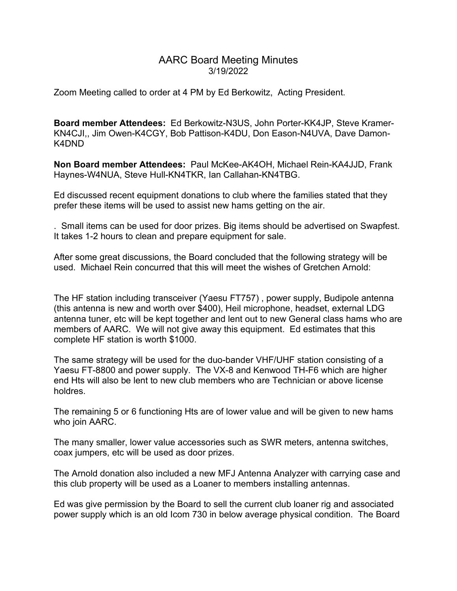## AARC Board Meeting Minutes 3/19/2022

Zoom Meeting called to order at 4 PM by Ed Berkowitz, Acting President.

Board member Attendees: Ed Berkowitz-N3US, John Porter-KK4JP, Steve Kramer-KN4CJI,, Jim Owen-K4CGY, Bob Pattison-K4DU, Don Eason-N4UVA, Dave Damon-K4DND

Non Board member Attendees: Paul McKee-AK4OH, Michael Rein-KA4JJD, Frank Haynes-W4NUA, Steve Hull-KN4TKR, Ian Callahan-KN4TBG.

Ed discussed recent equipment donations to club where the families stated that they prefer these items will be used to assist new hams getting on the air.

. Small items can be used for door prizes. Big items should be advertised on Swapfest. It takes 1-2 hours to clean and prepare equipment for sale.

After some great discussions, the Board concluded that the following strategy will be used. Michael Rein concurred that this will meet the wishes of Gretchen Arnold:

The HF station including transceiver (Yaesu FT757) , power supply, Budipole antenna (this antenna is new and worth over \$400), Heil microphone, headset, external LDG antenna tuner, etc will be kept together and lent out to new General class hams who are members of AARC. We will not give away this equipment. Ed estimates that this complete HF station is worth \$1000.

The same strategy will be used for the duo-bander VHF/UHF station consisting of a Yaesu FT-8800 and power supply. The VX-8 and Kenwood TH-F6 which are higher end Hts will also be lent to new club members who are Technician or above license holdres.

The remaining 5 or 6 functioning Hts are of lower value and will be given to new hams who join AARC.

The many smaller, lower value accessories such as SWR meters, antenna switches, coax jumpers, etc will be used as door prizes.

The Arnold donation also included a new MFJ Antenna Analyzer with carrying case and this club property will be used as a Loaner to members installing antennas.

Ed was give permission by the Board to sell the current club loaner rig and associated power supply which is an old Icom 730 in below average physical condition. The Board